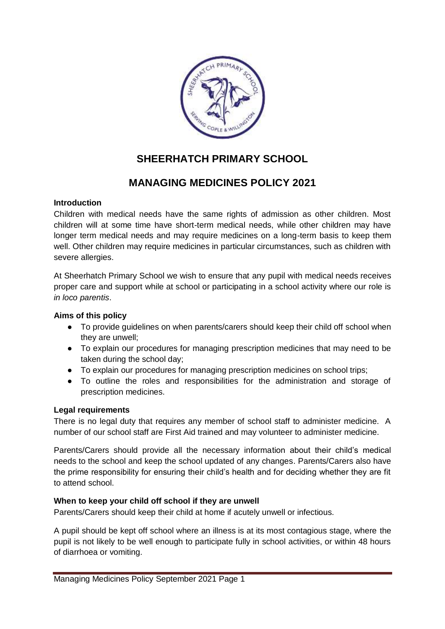

# **SHEERHATCH PRIMARY SCHOOL**

## **MANAGING MEDICINES POLICY 2021**

#### **Introduction**

Children with medical needs have the same rights of admission as other children. Most children will at some time have short-term medical needs, while other children may have longer term medical needs and may require medicines on a long-term basis to keep them well. Other children may require medicines in particular circumstances, such as children with severe allergies.

At Sheerhatch Primary School we wish to ensure that any pupil with medical needs receives proper care and support while at school or participating in a school activity where our role is *in loco parentis*.

#### **Aims of this policy**

- To provide guidelines on when parents/carers should keep their child off school when they are unwell;
- To explain our procedures for managing prescription medicines that may need to be taken during the school day;
- To explain our procedures for managing prescription medicines on school trips;
- To outline the roles and responsibilities for the administration and storage of prescription medicines.

#### **Legal requirements**

There is no legal duty that requires any member of school staff to administer medicine. A number of our school staff are First Aid trained and may volunteer to administer medicine.

Parents/Carers should provide all the necessary information about their child's medical needs to the school and keep the school updated of any changes. Parents/Carers also have the prime responsibility for ensuring their child's health and for deciding whether they are fit to attend school.

#### **When to keep your child off school if they are unwell**

Parents/Carers should keep their child at home if acutely unwell or infectious.

A pupil should be kept off school where an illness is at its most contagious stage, where the pupil is not likely to be well enough to participate fully in school activities, or within 48 hours of diarrhoea or vomiting.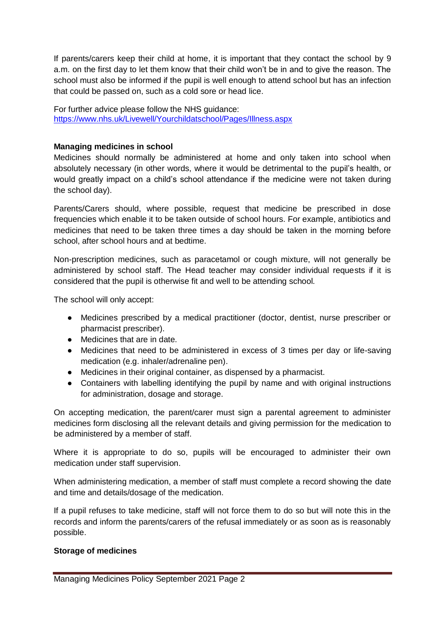If parents/carers keep their child at home, it is important that they contact the school by 9 a.m. on the first day to let them know that their child won't be in and to give the reason. The school must also be informed if the pupil is well enough to attend school but has an infection that could be passed on, such as a cold sore or head lice.

For further advice please follow the NHS guidance: <https://www.nhs.uk/Livewell/Yourchildatschool/Pages/Illness.aspx>

#### **Managing medicines in school**

Medicines should normally be administered at home and only taken into school when absolutely necessary (in other words, where it would be detrimental to the pupil's health, or would greatly impact on a child's school attendance if the medicine were not taken during the school day).

Parents/Carers should, where possible, request that medicine be prescribed in dose frequencies which enable it to be taken outside of school hours. For example, antibiotics and medicines that need to be taken three times a day should be taken in the morning before school, after school hours and at bedtime.

Non-prescription medicines, such as paracetamol or cough mixture, will not generally be administered by school staff. The Head teacher may consider individual requests if it is considered that the pupil is otherwise fit and well to be attending school.

The school will only accept:

- Medicines prescribed by a medical practitioner (doctor, dentist, nurse prescriber or pharmacist prescriber).
- Medicines that are in date.
- Medicines that need to be administered in excess of 3 times per day or life-saving medication (e.g. inhaler/adrenaline pen).
- Medicines in their original container, as dispensed by a pharmacist.
- Containers with labelling identifying the pupil by name and with original instructions for administration, dosage and storage.

On accepting medication, the parent/carer must sign a parental agreement to administer medicines form disclosing all the relevant details and giving permission for the medication to be administered by a member of staff.

Where it is appropriate to do so, pupils will be encouraged to administer their own medication under staff supervision.

When administering medication, a member of staff must complete a record showing the date and time and details/dosage of the medication.

If a pupil refuses to take medicine, staff will not force them to do so but will note this in the records and inform the parents/carers of the refusal immediately or as soon as is reasonably possible.

#### **Storage of medicines**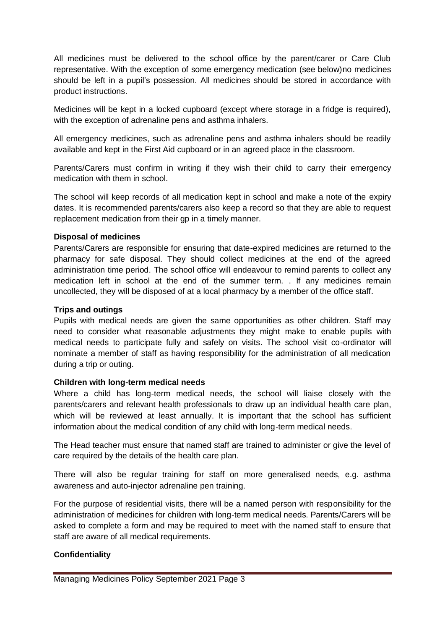All medicines must be delivered to the school office by the parent/carer or Care Club representative. With the exception of some emergency medication (see below)no medicines should be left in a pupil's possession. All medicines should be stored in accordance with product instructions.

Medicines will be kept in a locked cupboard (except where storage in a fridge is required), with the exception of adrenaline pens and asthma inhalers.

All emergency medicines, such as adrenaline pens and asthma inhalers should be readily available and kept in the First Aid cupboard or in an agreed place in the classroom.

Parents/Carers must confirm in writing if they wish their child to carry their emergency medication with them in school.

The school will keep records of all medication kept in school and make a note of the expiry dates. It is recommended parents/carers also keep a record so that they are able to request replacement medication from their gp in a timely manner.

#### **Disposal of medicines**

Parents/Carers are responsible for ensuring that date-expired medicines are returned to the pharmacy for safe disposal. They should collect medicines at the end of the agreed administration time period. The school office will endeavour to remind parents to collect any medication left in school at the end of the summer term. . If any medicines remain uncollected, they will be disposed of at a local pharmacy by a member of the office staff.

#### **Trips and outings**

Pupils with medical needs are given the same opportunities as other children. Staff may need to consider what reasonable adjustments they might make to enable pupils with medical needs to participate fully and safely on visits. The school visit co-ordinator will nominate a member of staff as having responsibility for the administration of all medication during a trip or outing.

#### **Children with long-term medical needs**

Where a child has long-term medical needs, the school will liaise closely with the parents/carers and relevant health professionals to draw up an individual health care plan, which will be reviewed at least annually. It is important that the school has sufficient information about the medical condition of any child with long-term medical needs.

The Head teacher must ensure that named staff are trained to administer or give the level of care required by the details of the health care plan.

There will also be regular training for staff on more generalised needs, e.g. asthma awareness and auto-injector adrenaline pen training.

For the purpose of residential visits, there will be a named person with responsibility for the administration of medicines for children with long-term medical needs. Parents/Carers will be asked to complete a form and may be required to meet with the named staff to ensure that staff are aware of all medical requirements.

#### **Confidentiality**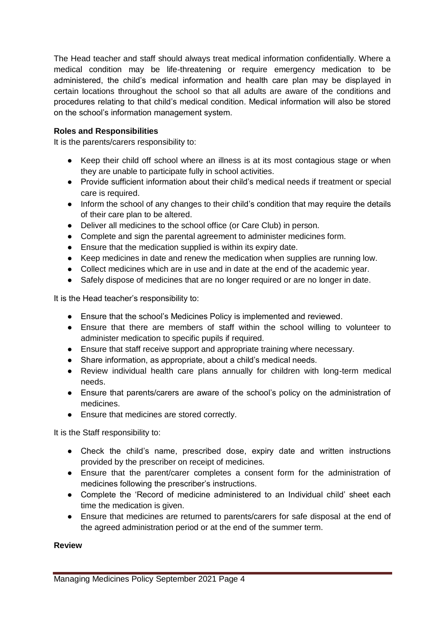The Head teacher and staff should always treat medical information confidentially. Where a medical condition may be life-threatening or require emergency medication to be administered, the child's medical information and health care plan may be displayed in certain locations throughout the school so that all adults are aware of the conditions and procedures relating to that child's medical condition. Medical information will also be stored on the school's information management system.

#### **Roles and Responsibilities**

It is the parents/carers responsibility to:

- Keep their child off school where an illness is at its most contagious stage or when they are unable to participate fully in school activities.
- Provide sufficient information about their child's medical needs if treatment or special care is required.
- Inform the school of any changes to their child's condition that may require the details of their care plan to be altered.
- Deliver all medicines to the school office (or Care Club) in person.
- Complete and sign the parental agreement to administer medicines form.
- Ensure that the medication supplied is within its expiry date.
- Keep medicines in date and renew the medication when supplies are running low.
- Collect medicines which are in use and in date at the end of the academic year.
- Safely dispose of medicines that are no longer required or are no longer in date.

It is the Head teacher's responsibility to:

- Ensure that the school's Medicines Policy is implemented and reviewed.
- Ensure that there are members of staff within the school willing to volunteer to administer medication to specific pupils if required.
- Ensure that staff receive support and appropriate training where necessary.
- Share information, as appropriate, about a child's medical needs.
- Review individual health care plans annually for children with long-term medical needs.
- Ensure that parents/carers are aware of the school's policy on the administration of medicines.
- Ensure that medicines are stored correctly.

It is the Staff responsibility to:

- Check the child's name, prescribed dose, expiry date and written instructions provided by the prescriber on receipt of medicines.
- Ensure that the parent/carer completes a consent form for the administration of medicines following the prescriber's instructions.
- Complete the 'Record of medicine administered to an Individual child' sheet each time the medication is given.
- Ensure that medicines are returned to parents/carers for safe disposal at the end of the agreed administration period or at the end of the summer term.

#### **Review**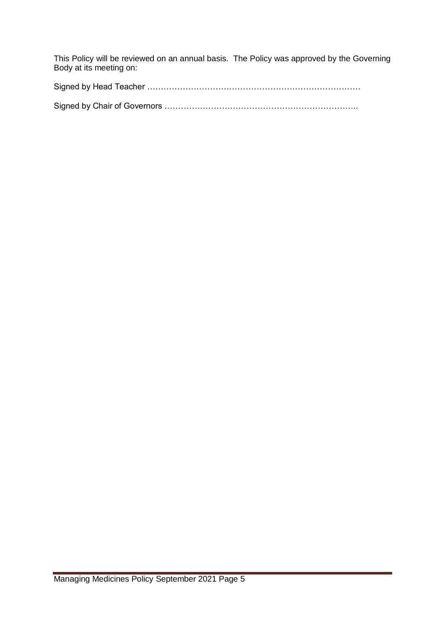This Policy will be reviewed on an annual basis. The Policy was approved by the Governing Body at its meeting on:

Signed by Head Teacher …………………………………………………………………… Signed by Chair of Governors ……………………………………………………………..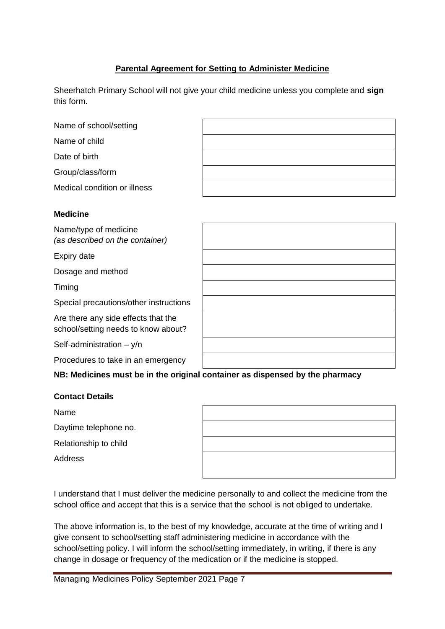### **Parental Agreement for Setting to Administer Medicine**

Sheerhatch Primary School will not give your child medicine unless you complete and **sign** this form.

| Name of school/setting       |  |
|------------------------------|--|
| Name of child                |  |
| Date of birth                |  |
| Group/class/form             |  |
| Medical condition or illness |  |
|                              |  |
| <b>Medicine</b>              |  |
| Name/type of medicine        |  |

*(as described on the container)*

Expiry date

Dosage and method

Timing

Special precautions/other instructions

Are there any side effects that the school/setting needs to know about?

Self-administration – y/n

Procedures to take in an emergency

**NB: Medicines must be in the original container as dispensed by the pharmacy**

#### **Contact Details**

Name

Daytime telephone no.

Relationship to child

**Address** 

I understand that I must deliver the medicine personally to and collect the medicine from the school office and accept that this is a service that the school is not obliged to undertake.

The above information is, to the best of my knowledge, accurate at the time of writing and I give consent to school/setting staff administering medicine in accordance with the school/setting policy. I will inform the school/setting immediately, in writing, if there is any change in dosage or frequency of the medication or if the medicine is stopped.

Managing Medicines Policy September 2021 Page 7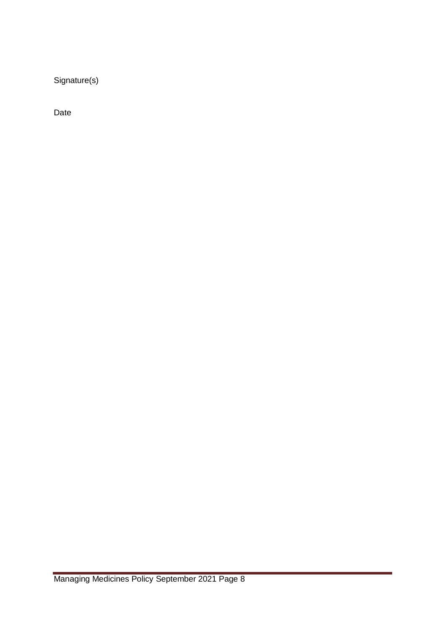Signature(s)

Date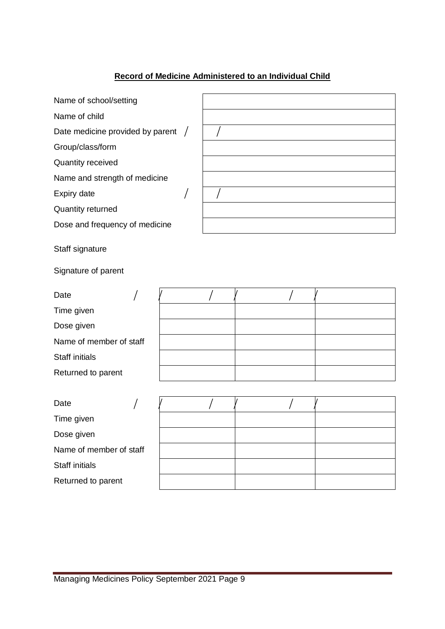## **Record of Medicine Administered to an Individual Child**

| Name of school/setting             |  |
|------------------------------------|--|
| Name of child                      |  |
| Date medicine provided by parent / |  |
| Group/class/form                   |  |
| <b>Quantity received</b>           |  |
| Name and strength of medicine      |  |
| Expiry date                        |  |
| <b>Quantity returned</b>           |  |
| Dose and frequency of medicine     |  |
| Staff signature                    |  |
| Signature of parent                |  |

| Date                    |  |  |  |
|-------------------------|--|--|--|
| Time given              |  |  |  |
| Dose given              |  |  |  |
| Name of member of staff |  |  |  |
| <b>Staff initials</b>   |  |  |  |
| Returned to parent      |  |  |  |

| Date                    |  |  |  |
|-------------------------|--|--|--|
| Time given              |  |  |  |
| Dose given              |  |  |  |
| Name of member of staff |  |  |  |
| <b>Staff initials</b>   |  |  |  |
| Returned to parent      |  |  |  |